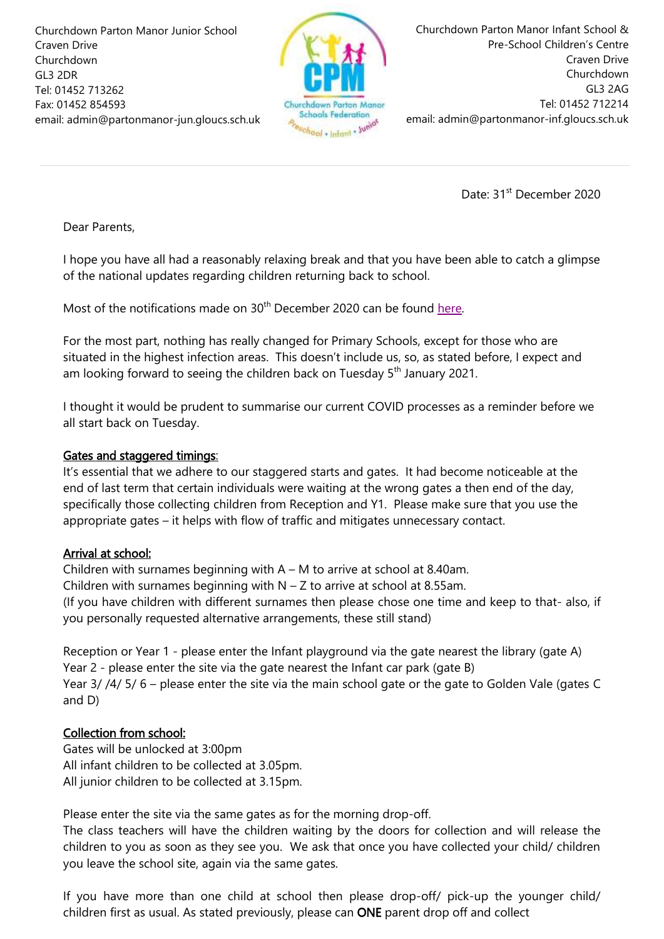Churchdown Parton Manor Junior School Craven Drive Churchdown GL3 2DR Tel: 01452 713262 Fax: 01452 854593 email: admin@partonmanor-jun.gloucs.sch.uk



Churchdown Parton Manor Infant School & Pre-School Children's Centre Craven Drive Churchdown GL3 2AG Tel: 01452 712214 email: admin@partonmanor-inf.gloucs.sch.uk

Date: 31<sup>st</sup> December 2020

Dear Parents,

I hope you have all had a reasonably relaxing break and that you have been able to catch a glimpse of the national updates regarding children returning back to school.

Most of the notifications made on  $30<sup>th</sup>$  December 2020 can be found [here.](https://www.gov.uk/government/publications/what-parents-and-carers-need-to-know-about-early-years-providers-schools-and-colleges-during-the-coronavirus-covid-19-outbreak?utm_source=f2e544a3-a0f1-4347-afc4-67de800581ec&utm_medium=email&utm_campaign=govuk-notifications&utm_content=immediate)

For the most part, nothing has really changed for Primary Schools, except for those who are situated in the highest infection areas. This doesn't include us, so, as stated before, I expect and am looking forward to seeing the children back on Tuesday  $5<sup>th</sup>$  January 2021.

I thought it would be prudent to summarise our current COVID processes as a reminder before we all start back on Tuesday.

## Gates and staggered timings:

It's essential that we adhere to our staggered starts and gates. It had become noticeable at the end of last term that certain individuals were waiting at the wrong gates a then end of the day, specifically those collecting children from Reception and Y1. Please make sure that you use the appropriate gates – it helps with flow of traffic and mitigates unnecessary contact.

## Arrival at school:

Children with surnames beginning with A – M to arrive at school at 8.40am. Children with surnames beginning with  $N - Z$  to arrive at school at 8.55am. (If you have children with different surnames then please chose one time and keep to that- also, if you personally requested alternative arrangements, these still stand)

Reception or Year 1 - please enter the Infant playground via the gate nearest the library (gate A) Year 2 - please enter the site via the gate nearest the Infant car park (gate B) Year 3/ /4/ 5/ 6 – please enter the site via the main school gate or the gate to Golden Vale (gates C and D)

## Collection from school:

Gates will be unlocked at 3:00pm All infant children to be collected at 3.05pm. All junior children to be collected at 3.15pm.

Please enter the site via the same gates as for the morning drop-off.

The class teachers will have the children waiting by the doors for collection and will release the children to you as soon as they see you. We ask that once you have collected your child/ children you leave the school site, again via the same gates.

If you have more than one child at school then please drop-off/ pick-up the younger child/ children first as usual. As stated previously, please can ONE parent drop off and collect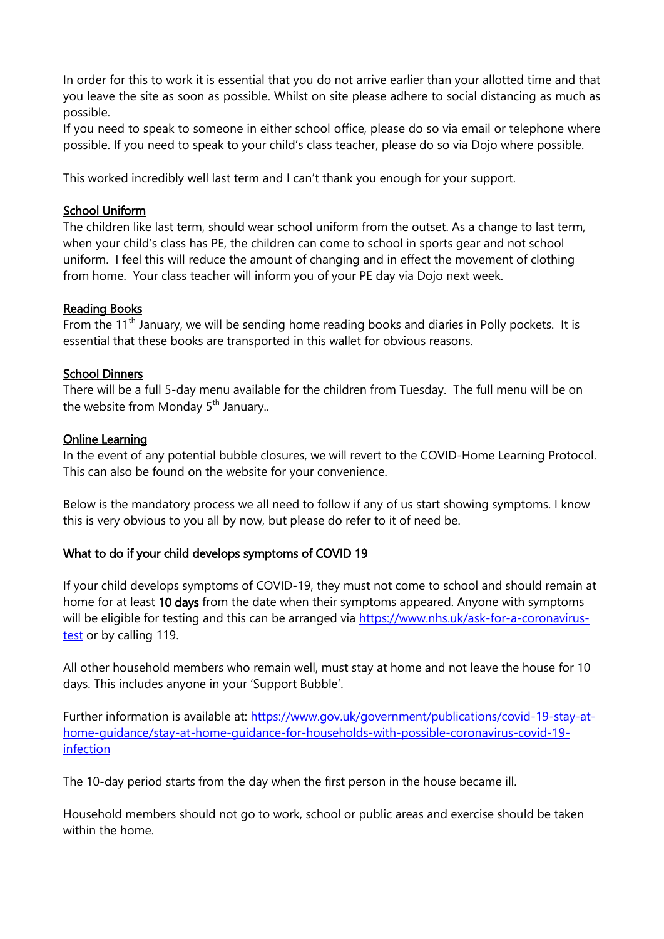In order for this to work it is essential that you do not arrive earlier than your allotted time and that you leave the site as soon as possible. Whilst on site please adhere to social distancing as much as possible.

If you need to speak to someone in either school office, please do so via email or telephone where possible. If you need to speak to your child's class teacher, please do so via Dojo where possible.

This worked incredibly well last term and I can't thank you enough for your support.

#### School Uniform

The children like last term, should wear school uniform from the outset. As a change to last term, when your child's class has PE, the children can come to school in sports gear and not school uniform. I feel this will reduce the amount of changing and in effect the movement of clothing from home. Your class teacher will inform you of your PE day via Dojo next week.

#### Reading Books

From the 11<sup>th</sup> January, we will be sending home reading books and diaries in Polly pockets. It is essential that these books are transported in this wallet for obvious reasons.

## School Dinners

There will be a full 5-day menu available for the children from Tuesday. The full menu will be on the website from Monday  $5<sup>th</sup>$  January..

#### Online Learning

In the event of any potential bubble closures, we will revert to the COVID-Home Learning Protocol. This can also be found on the website for your convenience.

Below is the mandatory process we all need to follow if any of us start showing symptoms. I know this is very obvious to you all by now, but please do refer to it of need be.

## What to do if your child develops symptoms of COVID 19

If your child develops symptoms of COVID-19, they must not come to school and should remain at home for at least 10 days from the date when their symptoms appeared. Anyone with symptoms will be eligible for testing and this can be arranged via [https://www.nhs.uk/ask-for-a-coronavirus](https://www.nhs.uk/ask-for-a-coronavirus-test)[test](https://www.nhs.uk/ask-for-a-coronavirus-test) or by calling 119.

All other household members who remain well, must stay at home and not leave the house for 10 days. This includes anyone in your 'Support Bubble'.

Further information is available at: [https://www.gov.uk/government/publications/covid-19-stay-at](https://www.gov.uk/government/publications/covid-19-stay-at-home-guidance/stay-at-home-guidance-for-households-with-possible-coronavirus-covid-19-infection)[home-guidance/stay-at-home-guidance-for-households-with-possible-coronavirus-covid-19](https://www.gov.uk/government/publications/covid-19-stay-at-home-guidance/stay-at-home-guidance-for-households-with-possible-coronavirus-covid-19-infection) [infection](https://www.gov.uk/government/publications/covid-19-stay-at-home-guidance/stay-at-home-guidance-for-households-with-possible-coronavirus-covid-19-infection)

The 10-day period starts from the day when the first person in the house became ill.

Household members should not go to work, school or public areas and exercise should be taken within the home.